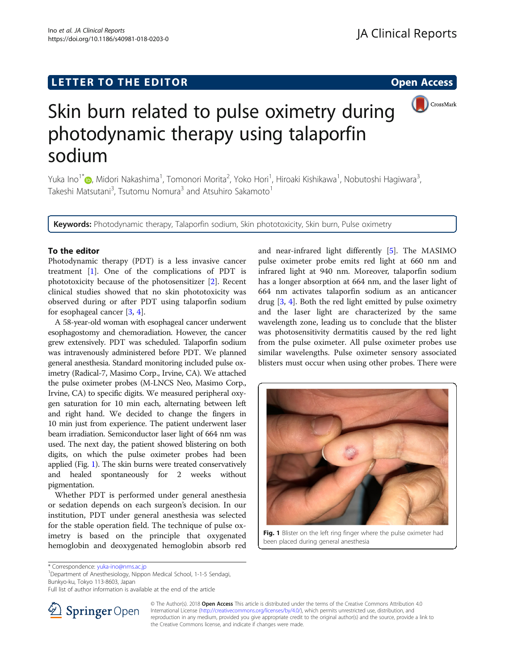# LETTER TO THE EDITOR **CONSIDERING THE EDITOR** CONSIDERING THE STATE AND THE STATE ASSAULT THE STATE AND THE STATE ASSAULT THE STATE AND THE STATE AND THE STATE AND THE STATE AND THE STATE AND THE STATE AND THE STATE AND TH



# Skin burn related to pulse oximetry during photodynamic therapy using talaporfin sodium

Yuka Ino<sup>1</sup>\*®, Midori Nakashima<sup>1</sup>, Tomonori Morita<sup>2</sup>, Yoko Hori<sup>1</sup>, Hiroaki Kishikawa<sup>1</sup>, Nobutoshi Hagiwara<sup>3</sup> , Takeshi Matsutani<sup>3</sup>, Tsutomu Nomura<sup>3</sup> and Atsuhiro Sakamoto<sup>1</sup>

Keywords: Photodynamic therapy, Talaporfin sodium, Skin phototoxicity, Skin burn, Pulse oximetry

### To the editor

Photodynamic therapy (PDT) is a less invasive cancer treatment [\[1](#page-1-0)]. One of the complications of PDT is phototoxicity because of the photosensitizer [\[2](#page-1-0)]. Recent clinical studies showed that no skin phototoxicity was observed during or after PDT using talaporfin sodium for esophageal cancer [\[3](#page-1-0), [4](#page-1-0)].

A 58-year-old woman with esophageal cancer underwent esophagostomy and chemoradiation. However, the cancer grew extensively. PDT was scheduled. Talaporfin sodium was intravenously administered before PDT. We planned general anesthesia. Standard monitoring included pulse oximetry (Radical-7, Masimo Corp., Irvine, CA). We attached the pulse oximeter probes (M-LNCS Neo, Masimo Corp., Irvine, CA) to specific digits. We measured peripheral oxygen saturation for 10 min each, alternating between left and right hand. We decided to change the fingers in 10 min just from experience. The patient underwent laser beam irradiation. Semiconductor laser light of 664 nm was used. The next day, the patient showed blistering on both digits, on which the pulse oximeter probes had been applied (Fig. 1). The skin burns were treated conservatively and healed spontaneously for 2 weeks without pigmentation.

Whether PDT is performed under general anesthesia or sedation depends on each surgeon's decision. In our institution, PDT under general anesthesia was selected for the stable operation field. The technique of pulse oximetry is based on the principle that oxygenated hemoglobin and deoxygenated hemoglobin absorb red

and near-infrared light differently [\[5](#page-1-0)]. The MASIMO pulse oximeter probe emits red light at 660 nm and infrared light at 940 nm. Moreover, talaporfin sodium has a longer absorption at 664 nm, and the laser light of 664 nm activates talaporfin sodium as an anticancer drug [\[3,](#page-1-0) [4](#page-1-0)]. Both the red light emitted by pulse oximetry and the laser light are characterized by the same wavelength zone, leading us to conclude that the blister was photosensitivity dermatitis caused by the red light from the pulse oximeter. All pulse oximeter probes use similar wavelengths. Pulse oximeter sensory associated blisters must occur when using other probes. There were



Fig. 1 Blister on the left ring finger where the pulse oximeter had been placed during general anesthesia

Department of Anesthesiology, Nippon Medical School, 1-1-5 Sendagi, Bunkyo-ku, Tokyo 113-8603, Japan

Full list of author information is available at the end of the article



© The Author(s). 2018 Open Access This article is distributed under the terms of the Creative Commons Attribution 4.0 International License ([http://creativecommons.org/licenses/by/4.0/\)](http://creativecommons.org/licenses/by/4.0/), which permits unrestricted use, distribution, and reproduction in any medium, provided you give appropriate credit to the original author(s) and the source, provide a link to the Creative Commons license, and indicate if changes were made.

<sup>\*</sup> Correspondence: [yuka-ino@nms.ac.jp](mailto:yuka-ino@nms.ac.jp) <sup>1</sup>